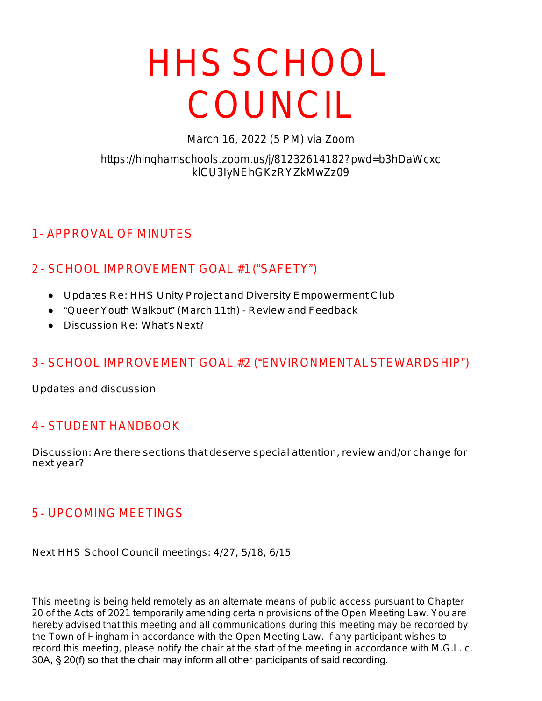# HHSSCHOOL COUNCIL

*March 16, 2022 (5 PM) via Zoom*

#### *https://hinghamschools.zoom.us/j/81232614182?pwd=b3hDaWcxc klCU3IyNEhGKzRYZkMwZz09*

## 1- APPROVAL OF MINUTES

## 2 - SCHOOL IMPROVEMENT GOAL #1 ("SAFETY")

- Updates Re: HHS Unity Project and Diversity Empowerment Club
- "Queer Youth Walkout" (March 11th) Review and Feedback
- Discussion Re: What'sNext?

## 3 - SCHOOL IMPROVEMENT GOAL #2 ("ENVIRONMENTALSTEWARDSHIP")

Updates and discussion

## 4 - STUDENT HANDBOOK

Discussion: Are there sections that deserve special attention, review and/or change for next year?

#### 5 - UPCOMING MEETINGS

Next HHS School Council meetings: 4/27, 5/18, 6/15

This meeting is being held remotely as an alternate means of public access pursuant to Chapter 20 of the Acts of 2021 temporarily amending certain provisions of the Open Meeting Law. You are hereby advised that this meeting and all communications during this meeting may be recorded by the Town of Hingham in accordance with the Open Meeting Law. If any participant wishes to record this meeting, please notify the chair at the start of the meeting in accordance with M.G.L. c. 30A, § 20(f) so that the chair may inform all other participants of said recording.